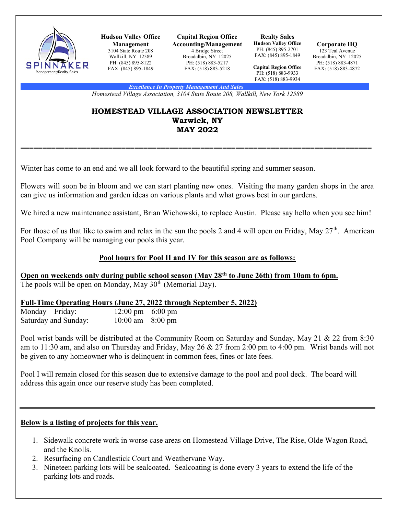

Hudson Valley Office Management 3104 State Route 208 Wallkill, NY 12589 PH: (845) 895-8122 FAX: (845) 895-1849

Capital Region Office Accounting/Management 4 Bridge Street Broadalbin, NY 12025 PH: (518) 883-5217 FAX: (518) 883-5218

Realty Sales Hudson Valley Office PH: (845) 895-2701 FAX: (845) 895-1849

Corporate HQ 123 Teal Avenue Broadalbin, NY 12025 PH: (518) 883-4871 FAX: (518) 883-4872

Capital Region Office PH: (518) 883-9933 FAX: (518) 883-9934

Excellence In Property Management And Sales

Homestead Village Association, 3104 State Route 208, Wallkill, New York 12589

### HOMESTEAD VILLAGE ASSOCIATION NEWSLETTER Warwick, NY MAY 2022

================================================================================

Winter has come to an end and we all look forward to the beautiful spring and summer season.

Flowers will soon be in bloom and we can start planting new ones. Visiting the many garden shops in the area can give us information and garden ideas on various plants and what grows best in our gardens.

We hired a new maintenance assistant, Brian Wichowski, to replace Austin. Please say hello when you see him!

For those of us that like to swim and relax in the sun the pools 2 and 4 will open on Friday, May  $27<sup>th</sup>$ . American Pool Company will be managing our pools this year.

# Pool hours for Pool II and IV for this season are as follows:

Open on weekends only during public school season (May 28<sup>th</sup> to June 26th) from 10am to 6pm. The pools will be open on Monday, May  $30<sup>th</sup>$  (Memorial Day).

# Full-Time Operating Hours (June 27, 2022 through September 5, 2022)

| $Monday - Friday:$   | $12:00 \text{ pm} - 6:00 \text{ pm}$ |
|----------------------|--------------------------------------|
| Saturday and Sunday: | $10:00$ am $-8:00$ pm                |

Pool wrist bands will be distributed at the Community Room on Saturday and Sunday, May 21 & 22 from 8:30 am to 11:30 am, and also on Thursday and Friday, May 26 & 27 from 2:00 pm to 4:00 pm. Wrist bands will not be given to any homeowner who is delinquent in common fees, fines or late fees.

Pool I will remain closed for this season due to extensive damage to the pool and pool deck. The board will address this again once our reserve study has been completed.

# Below is a listing of projects for this year.

- 1. Sidewalk concrete work in worse case areas on Homestead Village Drive, The Rise, Olde Wagon Road, and the Knolls.
- 2. Resurfacing on Candlestick Court and Weathervane Way.
- 3. Nineteen parking lots will be sealcoated. Sealcoating is done every 3 years to extend the life of the parking lots and roads.